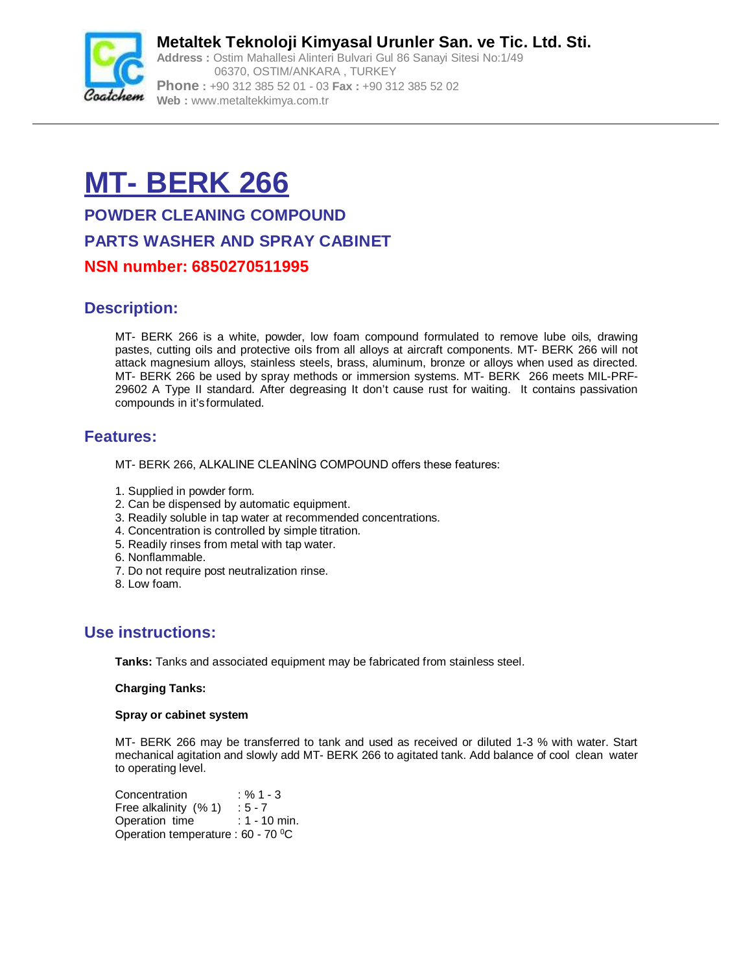

**Metaltek Teknoloji Kimyasal Urunler San. ve Tic. Ltd. Sti. Address :** Ostim Mahallesi Alinteri Bulvari Gul 86 Sanayi Sitesi No:1/49 06370, OSTIM/ANKARA , TURKEY **Phone :** +90 312 385 52 01 - 03 **Fax :** +90 312 385 52 02 **Web :** [www.metaltekkimya.com.tr](http://www.metaltekkimya.com.tr)

# **MT- BERK 266**

**POWDER CLEANING COMPOUND PARTS WASHER AND SPRAY CABINET NSN number: 6850270511995**

# **Description:**

MT- BERK 266 is a white, powder, low foam compound formulated to remove lube oils, drawing pastes, cutting oils and protective oils from all alloys at aircraft components. MT- BERK 266 will not attack magnesium alloys, stainless steels, brass, aluminum, bronze or alloys when used as directed. MT- BERK 266 be used by spray methods or immersion systems. MT- BERK 266 meets MIL-PRF-29602 A Type II standard. After degreasing It don't cause rust for waiting. It contains passivation compounds in it's formulated.

## **Features:**

MT- BERK 266, ALKALINE CLEANİNG COMPOUND offers these features:

- 1. Supplied in powder form.
- 2. Can be dispensed by automatic equipment.
- 3. Readily soluble in tap water at recommended concentrations.
- 4. Concentration is controlled by simple titration.
- 5. Readily rinses from metal with tap water.
- 6. Nonflammable.
- 7. Do not require post neutralization rinse.
- 8. Low foam.

# **Use instructions:**

**Tanks:** Tanks and associated equipment may be fabricated from stainless steel.

#### **Charging Tanks:**

#### **Spray or cabinet system**

MT- BERK 266 may be transferred to tank and used as received or diluted 1-3 % with water. Start mechanical agitation and slowly add MT- BERK 266 to agitated tank. Add balance of cool clean water to operating level.

Concentration : % 1 - 3 Free alkalinity  $(% 1) : 5 - 7$ Operation time : 1 - 10 min. Operation temperature : 60 - 70 <sup>0</sup>C